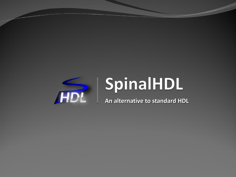

# SpinalHDL

**An alternative to standard HDL**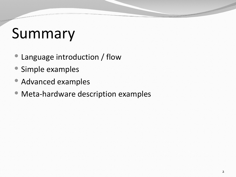# Summary

- Language introduction / flow
- Simple examples
- Advanced examples
- Meta-hardware description examples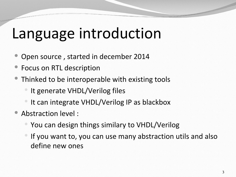## Language introduction

- Open source , started in december 2014
- Focus on RTL description
- Thinked to be interoperable with existing tools
	- It generate VHDL/Verilog files
	- It can integrate VHDL/Verilog IP as blackbox
- Abstraction level :
	- You can design things similary to VHDL/Verilog
	- If you want to, you can use many abstraction utils and also define new ones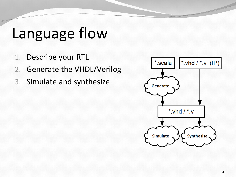### Language flow

- 1. Describe your RTL
- 2. Generate the VHDL/Verilog
- 3. Simulate and synthesize

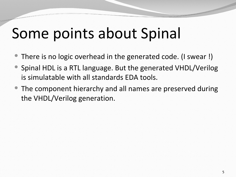## Some points about Spinal

- There is no logic overhead in the generated code. (I swear !)
- Spinal HDL is a RTL language. But the generated VHDL/Verilog is simulatable with all standards EDA tools.
- The component hierarchy and all names are preserved during the VHDL/Verilog generation.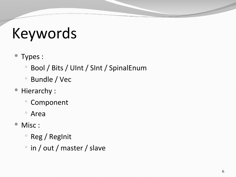# Keywords

- Types :
	- Bool / Bits / UInt / SInt / SpinalEnum
	- Bundle / Vec
- Hierarchy :
	- Component
	- Area
- Misc :
	- Reg / RegInit
	- in / out / master / slave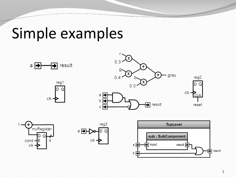### Simple examples











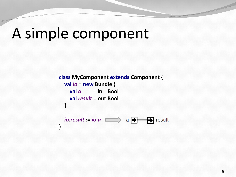### A simple component

```
class MyComponent extends Component {
   val io = new Bundle {
    \theta val a = in Bool
     val result = out Bool
   }
   io.result := io.a
                              a \overline{\bigoplus}\bigoplus result
}
```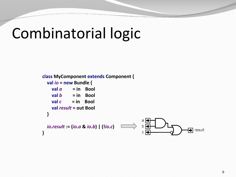## Combinatorial logic

```
class MyComponent extends Component {
   val io = new Bundle {
     \theta val a = in Bool
     \mathbf{v}al \mathbf{b} = in Bool
     val c = in Bool
      val result = out Bool
    }
                                                          a \mid \rightarrow io.result := (io.a & io.b) | (!io.c)
                                                          b \rightarrow\Rightarrow result
}
```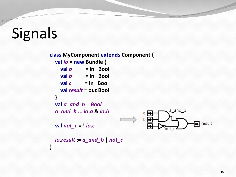# Signals

**class MyComponent extends Component { val** *io* **= new Bundle {**  $\mathbf{v}$ al *a*  $\mathbf{v}$  = in Bool  $val b = in$  Bool  $val c = in Bool$  **val** *result* **= out Bool } val** *a\_and\_b* **=** *Bool* a and b  *a\_and\_b := io***.***a* **&** *io***.***b* a∣⊨  $b \Box$  $\rightarrow$  result **val** *not\_c* **= !** *io***.***c*  $c \mid d$  *io***.***result* **:=** *a\_and\_b* **|** *not\_c* **}**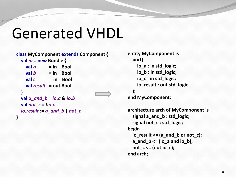### Generated VHDL

```
class MyComponent extends Component {
   val io = new Bundle {
     \theta z a a \theta <b>a a a a a a a a a a a a a a a a a a a a a a a a a a a a a a a a a
     v = h \neq b \neq in Bool
     val c = in Bool
      val result = out Bool
   }
   val a_and_b = io.a & io.b
  val not c = lio.c
   io.result := a_and_b | not_c
}
```

```
entity MyComponent is
   port(
     io_a : in std_logic;
     io_b : in std_logic;
     io_c : in std_logic;
     io_result : out std_logic 
   );
end MyComponent;
```
**architecture arch of MyComponent is signal a\_and\_b : std\_logic; signal not\_c : std\_logic; begin io\_result <= (a\_and\_b or not\_c); a\_and\_b <= (io\_a and io\_b);** not  $c \leq (not i o c);$ **end arch;**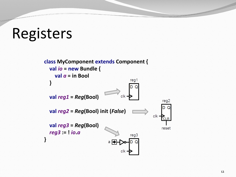### Registers

**class MyComponent extends Component { val** *io* **= new Bundle { val** *a* **= in Bool** reg1  **} val** *reg1* **=** *Reg***(Bool)**  $c$ <sub>k</sub> $$ reg2 D.  **val** *reg2* **=** *Reg***(Bool) init (***False***)** clk **→ CLR val** *reg3* **=** *Reg***(Bool)** reset *reg3* **:= !** *io***.***a* reg3 **}**  $a \rightarrow$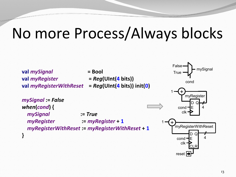## No more Process/Always blocks



*mySignal* **:=** *True*

 *myRegister* **:=** *myRegister* **+ 1**

*myRegisterWithReset* **:=** *myRegisterWithReset* **+ 1**

*mySignal* **:=** *False*

*when***(***cond***) {**

**}**

**val** *myRegisterWithReset* **=** *Reg***(UInt(4 bits)) init(0)**

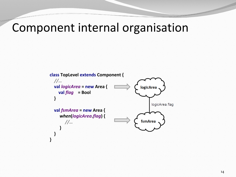### Component internal organisation

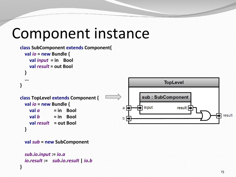### Component instance

```
class SubComponent extends Component{
   val io = new Bundle {
     val input = in Bool
     val result = out Bool
 }
 ...
                                                                         TopLevel
}
                                                              sub: SubComponent
class TopLevel extends Component {
   val io = new Bundle {
                                                            中 input
                                                                               result \overline{\Rightarrow}a \rightarrow\theta val a = in Bool
                                                                                                       result
    val b = in Bool
                                                    b \rightarrow val result = out Bool
 }
```

```
 val sub = new SubComponent
```

```
 sub.io.input := io.a
 io.result := sub.io.result | io.b
```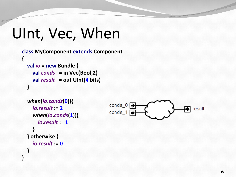```
UInt, Vec, When
```

```
class MyComponent extends Component {
   val io = new Bundle {
     val conds = in Vec(Bool,2)
     val result = out UInt(4 bits)
   }
```

```
 when
(io
.conds
(
0)){
 io
.result := 
2
 when
(io
.conds
(
1)){
 io
.result := 
1
    }
   } otherwise {
 io
.result := 
0
  }
```
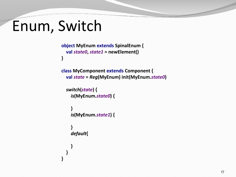### Enum, Switch

```
object MyEnum extends SpinalEnum {
  val state0, state1 = newElement()
}
```

```
class MyComponent extends Component {
  val state = Reg(MyEnum) init(MyEnum.state0)
```

```
 switch(state) {
   is(MyEnum.state0) {
```

```
 }
 is(MyEnum.state1) {
```

```
 }
    default{
```
 **}**

 **}**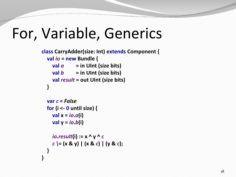### For, Variable, Generics

```
class CarryAdder(size: Int) extends Component {
   val io = new Bundle {
     \alpha val \alpha = in UInt (size bits)
     \mathbf{v}al \mathbf{b} = in UInt (size bits)
      val result = out UInt (size bits) 
   }
```

```
 var c = False 
 for (i <- 0 until size) {
   val x = io.a(i)
   val y = io.b(i)
```

```
\iotaio.result(i) := x \wedge y \wedge c c \= (x & y) | (x & c) | (y & c); 
 }
```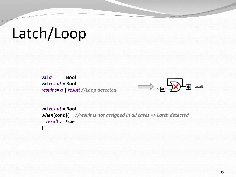# Latch/Loop

```
\boldsymbol{v}al a = Bool
 val result = Bool
 result := a | result //Loop detected
```


```
 val result = Bool 
 when(cond){ //result is not assigned in all cases => Latch detected 
   result := True
 }
```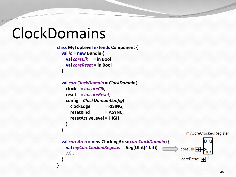### ClockDomains

```
class MyTopLevel extends Component {
   val io = new Bundle {
     val coreClk = in Bool
     val coreReset = in Bool
 }
```

```
 val coreClockDomain = ClockDomain(
    clock = io.coreClk,
    reset = io.coreReset,
    config = ClockDomainConfig(
      clockEdge = RISING,
      resetKind = ASYNC,
      resetActiveLevel = HIGH
 )
 )
                                                            myCoreClockedRegister
  val coreArea = new ClockingArea(coreClockDomain) {
    val myCoreClockedRegister = Reg(UInt(4 bit))
                                                         coreClk
    //...
 }
}
```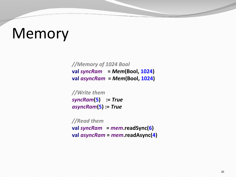### Memory

*//Memory of 1024 Bool* **val** *syncRam* **=** *Mem***(Bool, 1024) val** *asyncRam* **=** *Mem***(Bool, 1024)**

*//Write them syncRam***(5) :=** *True asyncRam***(5) :=** *True*

*//Read them* **val** *syncRam* **=** *mem***.readSync(6) val** *asyncRam* **=** *mem***.readAsync(4)**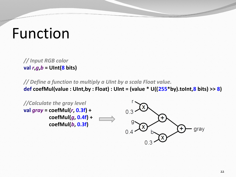### Function

*// Input RGB color* **val** *r***,***g***,***b* **= UInt(8 bits)**

*// Define a function to multiply a UInt by a scala Float value.* **def coefMul(value : UInt,by : Float) : UInt = (value \* U((255\*by).toInt,8 bits) >> 8)**

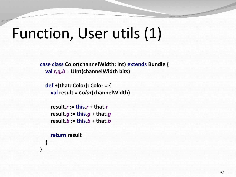### Function, User utils (1)

**case class Color(channelWidth: Int) extends Bundle { val** *r,g,b* **= UInt(channelWidth bits)**

```
 def +(that: Color): Color = {
   val result = Color(channelWidth)
```

```
 result.r := this.r + that.r
 result.g := this.g + that.g
 result.b := this.b + that.b
```

```
 return result
```
**}**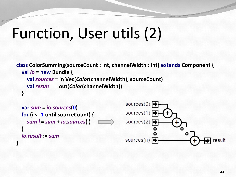### Function, User utils (2)

```
class ColorSumming(sourceCount : Int, channelWidth : Int) extends Component {
   val io = new Bundle {
     val sources = in Vec(Color(channelWidth), sourceCount)
     val result = out(Color(channelWidth))
   }
```
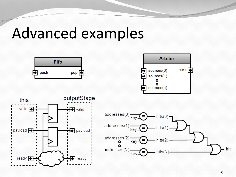### Advanced examples

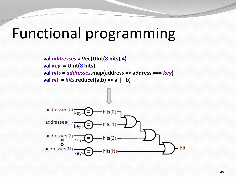### Functional programming

**val** *addresses* **= Vec(UInt(8 bits),4) val** *key* **= UInt(8 bits) val** *hits* **=** *addresses***.map(address => address ===** *key***)**  $val hit = hits.readuce((a,b) => a || b)$ 

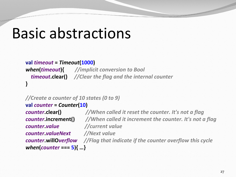### Basic abstractions

```
val timeout = Timeout(1000)
when(timeout){ //implicit conversion to Bool
   timeout.clear() //Clear the flag and the internal counter
}
```

```
//Create a counter of 10 states (0 to 9)
```

```
val counter = Counter(10)
counter.value //current value
counter.valueNext //Next value
when(counter === 5){ …}
```
*counter***.clear()** *//When called it reset the counter. It's not a flag counter***.increment()** *//When called it increment the counter. It's not a flag counter***.willO***verflow //Flag that indicate if the counter overflow this cycle*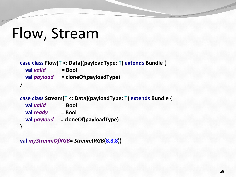```
Flow, Stream
```

```
case class Flow[T <: Data](payloadType: T) extends Bundle {
  val valid = Bool
   val payload = cloneOf(payloadType)
}
```

```
case class Stream[T <: Data](payloadType: T) extends Bundle {
   val valid = Bool
   val ready = Bool
   val payload = cloneOf(payloadType)
}
```

```
val myStreamOfRGB= Stream(RGB(8,8,8))
```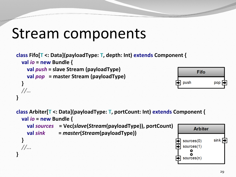### Stream components

```
class Fifo[T <: Data](payloadType: T, depth: Int) extends Component {
   val io = new Bundle {
     val push = slave Stream (payloadType)
     val pop = master Stream (payloadType)
 } 
                                                                     push
   //…
}
```


```
class Arbiter[T <: Data](payloadType: T, portCount: Int) extends Component {
   val io = new Bundle {
     val sources = Vec(slave(Stream(payloadType)), portCount)
                                                                         Arbiter
     val sink = master(Stream(payloadType))
 }
                                                                                  sin ksources(0)
                                                                     sources(1) //...
}sources(n)
```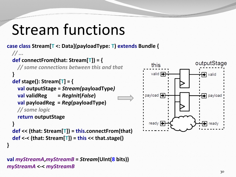## Stream functions

**case class Stream[T <: Data](payloadType: T) extends Bundle {**

```
 // ...
   def connectFrom(that: Stream[T]) = {
     // some connections between this and that
 }
   def stage(): Stream[T] = {
     val outputStage = Stream(payloadType)
     val validReg = RegInit(False)
     val payloadReg = Reg(payloadType)
    // some logic
     return outputStage
 }
   def << (that: Stream[T]) = this.connectFrom(that)
```

```
 def <-< (that: Stream[T]) = this << that.stage()
```
**}**

#### **val** *myStreamA***,***myStreamB* **=** *Stream***(UInt(8 bits))** *myStreamA* **<-<** *myStreamB*

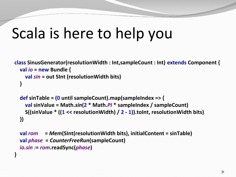## Scala is here to help you

```
class SinusGenerator(resolutionWidth : Int,sampleCount : Int) extends Component {
   val io = new Bundle {
     val sin = out SInt (resolutionWidth bits)
   }
```

```
 def sinTable = (0 until sampleCount).map(sampleIndex => {
   val sinValue = Math.sin(2 * Math.PI * sampleIndex / sampleCount)
   S((sinValue * ((1 << resolutionWidth) / 2 - 1)).toInt, resolutionWidth bits)
 })
```

```
 val rom = Mem(SInt(resolutionWidth bits), initialContent = sinTable)
 val phase = CounterFreeRun(sampleCount)
 io.sin := rom.readSync(phase)
```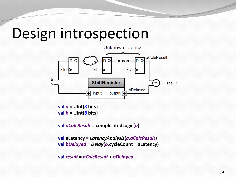### Design introspection



 $val a = UInt(8 bits)$ **val** *b* **= UInt(8 bits)**

**val** *aCalcResult* **= complicatedLogic(***a***)**

**val aLatency =** *LatencyAnalysis***(***a***,***aCalcResult***) val** *bDelayed* **=** *Delay***(***b***,cycleCount = aLatency)**

**val** *result* **=** *aCalcResult* **+** *bDelayed*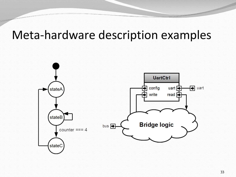### Meta-hardware description examples

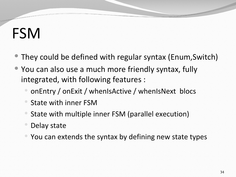# FSM

- They could be defined with regular syntax (Enum,Switch)
- You can also use a much more friendly syntax, fully integrated, with following features :
	- onEntry / onExit / whenIsActive / whenIsNext blocs
	- State with inner FSM
	- State with multiple inner FSM (parallel execution)
	- Delay state
	- You can extends the syntax by defining new state types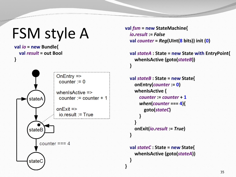### FSM style A

**val** *io* **= new Bundle{**

 **val** *result* **= out Bool**

```
}OnEntry \Rightarrowcounter = 0when sActive \Rightarrowcounter := counter + 1
       stateA
                     onExit = >io. result := TruestateB
            counter == 4stateC
```

```
 val fsm = new StateMachine{
   io.result := False
   val counter = Reg(UInt(8 bits)) init (0)
```

```
 val stateA : State = new State with EntryPoint{
       whenIsActive (goto(stateB))
 }
```

```
 val stateB : State = new State{
       onEntry(counter := 0)
       whenIsActive {
         counter := counter + 1
         when(counter === 4){
           goto(stateC)
 }
 }
       onExit(io.result := True)
 }
```

```
 val stateC : State = new State{
   whenIsActive (goto(stateA))
```
 **}**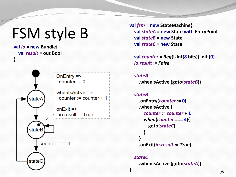## FSM style B

```
val io = new Bundle{
   val result = out Bool
}
```


**val** *fsm* **= new StateMachine{ val** *stateA* **= new State with EntryPoint val** *stateB* **= new State val** *stateC* **= new State**

 **val** *counter* **=** *Reg***(UInt(8 bits)) init (0)** *io***.***result* **:=** *False*

 *stateA*

**}**

**.whenIsActive (goto(***stateB***))**

```
 stateB
     .onEntry(counter := 0)
     .whenIsActive {
       counter := counter + 1
       when(counter === 4){
         goto(stateC)
 }
 }
     .onExit(io.result := True)
```
#### *stateC* **.whenIsActive (goto(***stateA***))**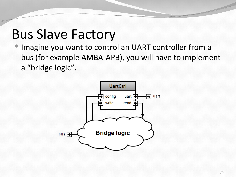Imagine you want to control an UART controller from a bus (for example AMBA-APB), you will have to implement a "bridge logic".

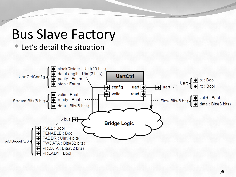Let's detail the situation

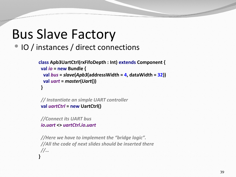### • IO / instances / direct connections

```
class Apb3UartCtrl(rxFifoDepth : Int) extends Component {
  val io = new Bundle {
   val bus = slave(Apb3(addressWidth = 4, dataWidth = 32))
   val uart = master(Uart())
 }
```

```
 // Instantiate an simple UART controller
 val uartCtrl = new UartCtrl()
```
*//Connect its UART bus io***.***uart* **<>** *uartCtrl***.***io***.***uart*

```
 //Here we have to implement the "bridge logic". 
 //All the code of next slides should be inserted there
 //…
}
```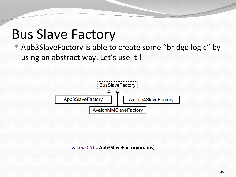Apb3SlaveFactory is able to create some "bridge logic" by using an abstract way. Let's use it !



**val** *busCtrl* **= Apb3SlaveFactory(io.bus)**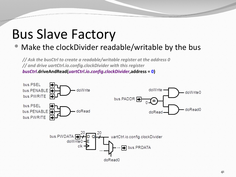### Make the clockDivider readable/writable by the bus

*// Ask the busCtrl to create a readable/writable register at the address 0 // and drive uartCtrl.io.config.clockDivider with this register busCtrl***.driveAndRead(***uartCtrl***.***io***.***config***.***clockDivider***,address = 0)**

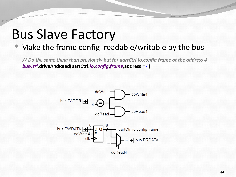### Make the frame config readable/writable by the bus

*// Do the same thing than previously but for uartCtrl.io.config.frame at the address 4 busCtrl***.driveAndRead(uartCtrl.***io***.***config***.***frame***,address = 4)**

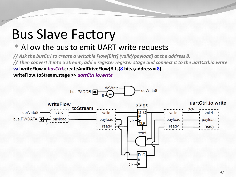### • Allow the bus to emit UART write requests

*// Ask the busCtrl to create a writable Flow[Bits] (valid/payload) at the address 8. // Then convert it into a stream, add a register register stage and connect it to the uartCtrl.io.write*  **val writeFlow =** *busCtrl***.createAndDriveFlow(Bits(8 bits),address = 8) writeFlow.toStream.stage >>** *uartCtrl***.***io***.***write*

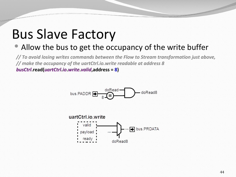### • Allow the bus to get the occupancy of the write buffer

*// To avoid losing writes commands between the Flow to Stream transformation just above, // make the occupancy of the uartCtrl.io.write readable at address 8 busCtrl***.read(***uartCtrl***.***io***.***write***.***valid***,address = 8)**

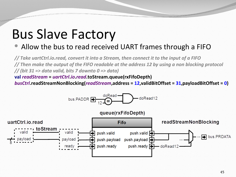#### • Allow the bus to read received UART frames through a FIFO

*// Take uartCtrl.io.read, convert it into a Stream, then connect it to the input of a FIFO // Then make the output of the FIFO readable at the address 12 by using a non blocking protocol // (bit 31 => data valid, bits 7 downto 0 => data)* **val** *readStream* **=** *uartCtrl***.***io***.***read***.toStream.queue(rxFifoDepth)**

*busCtrl***.readStreamNonBlocking(***readStream***,address = 12,validBitOffset = 31,payloadBitOffset = 0)**

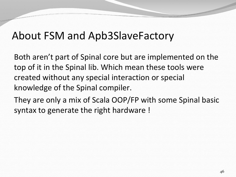### About FSM and Apb3SlaveFactory

Both aren't part of Spinal core but are implemented on the top of it in the Spinal lib. Which mean these tools were created without any special interaction or special knowledge of the Spinal compiler.

They are only a mix of Scala OOP/FP with some Spinal basic syntax to generate the right hardware !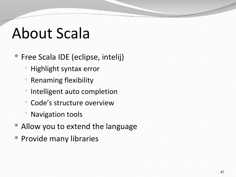# About Scala

- Free Scala IDE (eclipse, intelij)
	- Highlight syntax error
	- Renaming flexibility
	- Intelligent auto completion
	- Code's structure overview
	- Navigation tools
- Allow you to extend the language
- Provide many libraries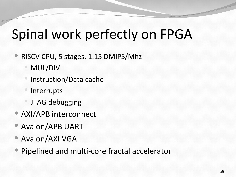### Spinal work perfectly on FPGA

- RISCV CPU, 5 stages, 1.15 DMIPS/Mhz
	- MUL/DIV
	- Instruction/Data cache
	- Interrupts
	- JTAG debugging
- AXI/APB interconnect
- Avalon/APB UART
- Avalon/AXI VGA
- Pipelined and multi-core fractal accelerator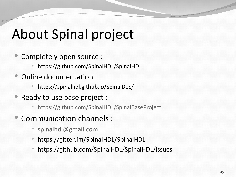### About Spinal project

- Completely open source :
	- https://github.com/SpinalHDL/SpinalHDL
- Online documentation :
	- https://spinalhdl.github.io/SpinalDoc/
- Ready to use base project :
	- <https://github.com/SpinalHDL/SpinalBaseProject>
- Communication channels :
	- [spinalhdl@gmail.com](mailto:spinalhdl@gmail.com)
	- https://gitter.im/SpinalHDL/SpinalHDL
	- https://github.com/SpinalHDL/SpinalHDL/issues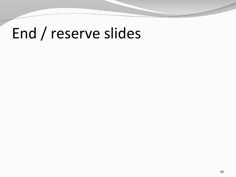## End / reserve slides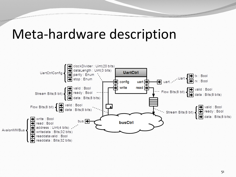### Meta-hardware description

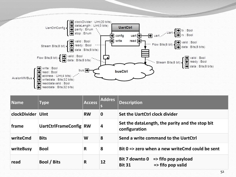

| Name              | <b>Type</b>            | <b>Access</b> | <b>Addres</b> | <b>Description</b>                                                                                       |
|-------------------|------------------------|---------------|---------------|----------------------------------------------------------------------------------------------------------|
| clockDivider UInt |                        | <b>RW</b>     | $\mathbf 0$   | Set the UartCtrl clock divider                                                                           |
| frame             | UartCtrlFrameConfig RW |               | 4             | Set the dataLength, the parity and the stop bit<br>configuration                                         |
| writeCmd          | <b>Bits</b>            | W             | 8             | Send a write command to the UartCtrl                                                                     |
| writeBusy         | <b>Bool</b>            | R             | 8             | Bit $0 \Rightarrow$ zero when a new write Cmd could be sent                                              |
| read              | Bool / Bits            | R             | 12            | <b>Bit 7 downto 0</b><br>$\Rightarrow$ fifo pop payload<br>$\Rightarrow$ fifo pop valid<br><b>Bit 31</b> |